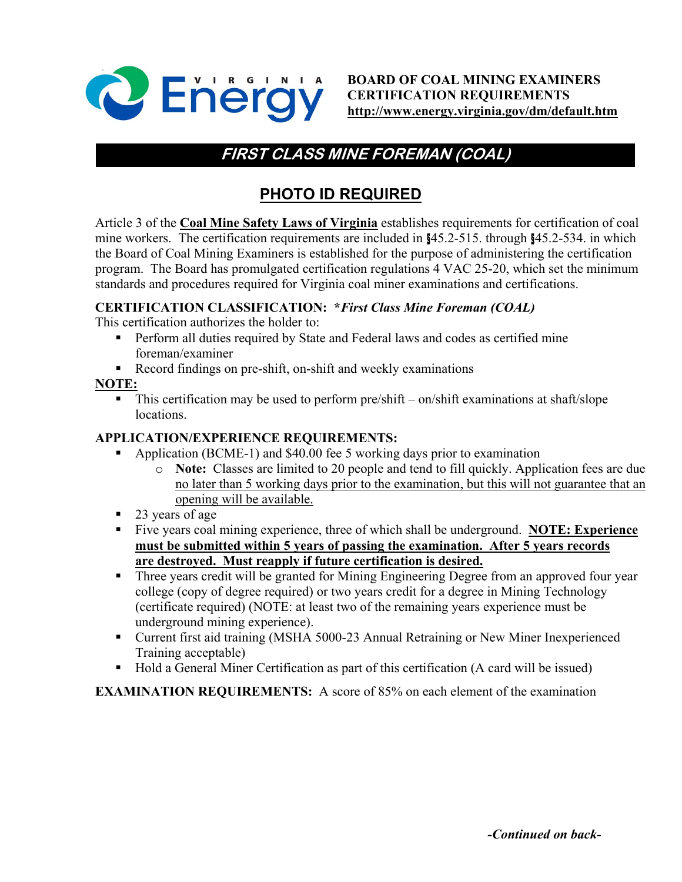

**BOARD OF COAL MINING EXAMINERS CERTIFICATION REQUIREMENTS <http://www.energy.virginia.gov/dm/default.htm>**

# **FIRST CLASS MINE FOREMAN (COAL)**

## **PHOTO ID REQUIRED**

Article 3 of the **Coal Mine Safety Laws of Virginia** establishes requirements for certification of coal mine workers. The certification requirements are included in §45.2-515. through §45.2-534. in which the Board of Coal Mining Examiners is established for the purpose of administering the certification program. The Board has promulgated certification regulations 4 VAC 25-20, which set the minimum standards and procedures required for Virginia coal miner examinations and certifications.

#### **CERTIFICATION CLASSIFICATION: \****First Class Mine Foreman (COAL)*

This certification authorizes the holder to:

- Perform all duties required by State and Federal laws and codes as certified mine foreman/examiner
- Record findings on pre-shift, on-shift and weekly examinations

#### **NOTE:**

 This certification may be used to perform pre/shift – on/shift examinations at shaft/slope locations.

### **APPLICATION/EXPERIENCE REQUIREMENTS:**

- Application (BCME-1) and \$40.00 fee 5 working days prior to examination
	- o **Note:** Classes are limited to 20 people and tend to fill quickly. Application fees are due no later than 5 working days prior to the examination, but this will not guarantee that an opening will be available.
- 23 years of age
- Five years coal mining experience, three of which shall be underground. **NOTE: Experience must be submitted within 5 years of passing the examination. After 5 years records are destroyed. Must reapply if future certification is desired.**
- **Three years credit will be granted for Mining Engineering Degree from an approved four year** college (copy of degree required) or two years credit for a degree in Mining Technology (certificate required) (NOTE: at least two of the remaining years experience must be underground mining experience).
- Current first aid training (MSHA 5000-23 Annual Retraining or New Miner Inexperienced Training acceptable)
- Hold a General Miner Certification as part of this certification (A card will be issued)

**EXAMINATION REQUIREMENTS:** A score of 85% on each element of the examination